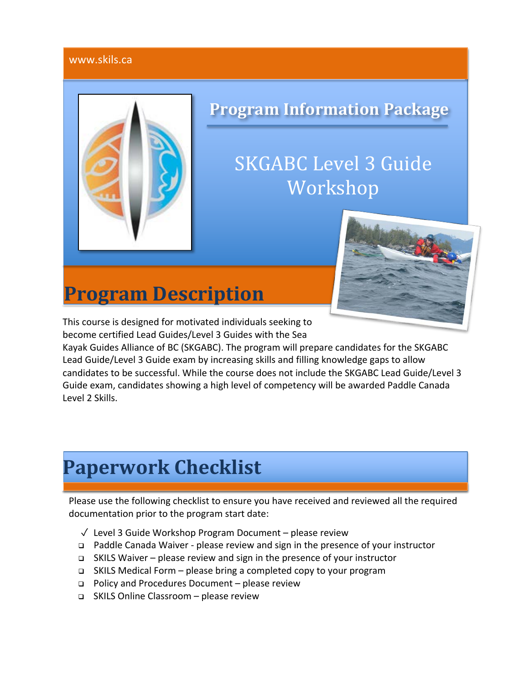#### www.skils.ca



## **Program Information Package**

# **SKGABC** Level 3 Guide Workshop



This course is designed for motivated individuals seeking to become certified Lead Guides/Level 3 Guides with the Sea

**Program Description**

Kayak Guides Alliance of BC (SKGABC). The program will prepare candidates for the SKGABC Lead Guide/Level 3 Guide exam by increasing skills and filling knowledge gaps to allow candidates to be successful. While the course does not include the SKGABC Lead Guide/Level 3 Guide exam, candidates showing a high level of competency will be awarded Paddle Canada Level 2 Skills.

# **Paperwork Checklist**

Please use the following checklist to ensure you have received and reviewed all the required documentation prior to the program start date:

- ✓ Level 3 Guide Workshop Program Document please review
- <sup>q</sup> Paddle Canada Waiver please review and sign in the presence of your instructor
- <sup>q</sup> SKILS Waiver please review and sign in the presence of your instructor
- <sup>q</sup> SKILS Medical Form please bring a completed copy to your program
- <sup>q</sup> Policy and Procedures Document please review
- <sup>q</sup> SKILS Online Classroom please review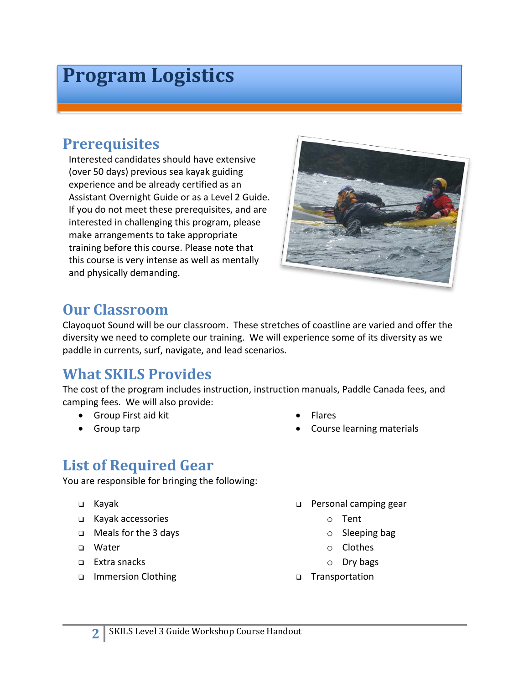# **Program Logistics**

### **Prerequisites**

Interested candidates should have extensive (over 50 days) previous sea kayak guiding experience and be already certified as an Assistant Overnight Guide or as a Level 2 Guide. If you do not meet these prerequisites, and are interested in challenging this program, please make arrangements to take appropriate training before this course. Please note that this course is very intense as well as mentally and physically demanding.



### **Our Classroom**

Clayoquot Sound will be our classroom. These stretches of coastline are varied and offer the diversity we need to complete our training. We will experience some of its diversity as we paddle in currents, surf, navigate, and lead scenarios.

### **What SKILS Provides**

The cost of the program includes instruction, instruction manuals, Paddle Canada fees, and camping fees. We will also provide:

- Group First aid kit
- Group tarp
- Flares
- Course learning materials

### **List of Required Gear**

You are responsible for bringing the following:

- <sup>q</sup> Kayak
- <sup>q</sup> Kayak accessories
- <sup>q</sup> Meals for the 3 days
- <sup>q</sup> Water
- $\Box$  Extra snacks
- <sup>q</sup> Immersion Clothing
- **p** Personal camping gear
	- o Tent
	- o Sleeping bag
	- o Clothes
	- o Dry bags
- <sup>q</sup> Transportation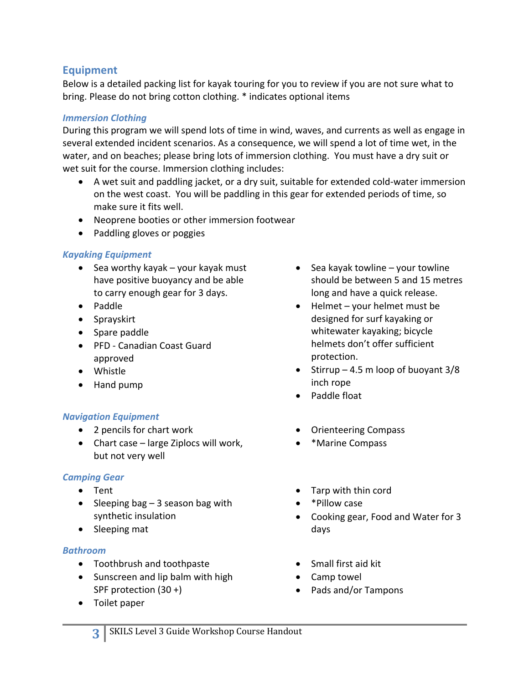#### **Equipment**

Below is a detailed packing list for kayak touring for you to review if you are not sure what to bring. Please do not bring cotton clothing. \* indicates optional items

#### *Immersion Clothing*

During this program we will spend lots of time in wind, waves, and currents as well as engage in several extended incident scenarios. As a consequence, we will spend a lot of time wet, in the water, and on beaches; please bring lots of immersion clothing. You must have a dry suit or wet suit for the course. Immersion clothing includes:

- A wet suit and paddling jacket, or a dry suit, suitable for extended cold-water immersion on the west coast. You will be paddling in this gear for extended periods of time, so make sure it fits well.
- Neoprene booties or other immersion footwear
- Paddling gloves or poggies

#### *Kayaking Equipment*

- Sea worthy kayak your kayak must have positive buoyancy and be able to carry enough gear for 3 days.
- Paddle
- Sprayskirt
- Spare paddle
- PFD Canadian Coast Guard approved
- Whistle
- Hand pump

#### *Navigation Equipment*

- 2 pencils for chart work
- Chart case large Ziplocs will work, but not very well

#### *Camping Gear*

- Tent
- Sleeping bag  $-3$  season bag with synthetic insulation
- Sleeping mat

#### *Bathroom*

- Toothbrush and toothpaste
- Sunscreen and lip balm with high SPF protection (30 +)
- Toilet paper
- Sea kayak towline  $-$  your towline should be between 5 and 15 metres long and have a quick release.
- Helmet your helmet must be designed for surf kayaking or whitewater kayaking; bicycle helmets don't offer sufficient protection.
- Stirrup  $-4.5$  m loop of buoyant  $3/8$ inch rope
- Paddle float
- Orienteering Compass
- \*Marine Compass
- Tarp with thin cord
- \*Pillow case
- Cooking gear, Food and Water for 3 days
- Small first aid kit
- Camp towel
- Pads and/or Tampons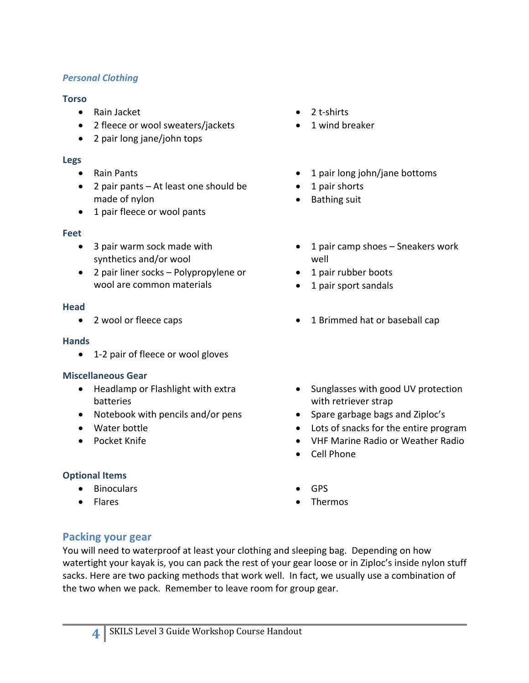#### *Personal Clothing*

#### **Torso**

- Rain Jacket
- 2 fleece or wool sweaters/jackets
- 2 pair long jane/john tops

#### **Legs**

- Rain Pants
- 2 pair pants At least one should be made of nylon
- 1 pair fleece or wool pants

#### **Feet**

- 3 pair warm sock made with synthetics and/or wool
- 2 pair liner socks Polypropylene or wool are common materials

#### **Head**

#### **Hands**

• 1-2 pair of fleece or wool gloves

#### **Miscellaneous Gear**

- Headlamp or Flashlight with extra batteries
- Notebook with pencils and/or pens
- Water bottle
- Pocket Knife

#### **Optional Items**

- Binoculars
- Flares
- 2 t-shirts
- 1 wind breaker
- 1 pair long john/jane bottoms
- 1 pair shorts
- Bathing suit
- 1 pair camp shoes Sneakers work well
- 1 pair rubber boots
- 1 pair sport sandals
- 2 wool or fleece caps 1 Brimmed hat or baseball cap
	- Sunglasses with good UV protection with retriever strap
	- Spare garbage bags and Ziploc's
	- Lots of snacks for the entire program
	- VHF Marine Radio or Weather Radio
	- Cell Phone
	- GPS
	- Thermos

#### **Packing your gear**

You will need to waterproof at least your clothing and sleeping bag. Depending on how watertight your kayak is, you can pack the rest of your gear loose or in Ziploc's inside nylon stuff sacks. Here are two packing methods that work well. In fact, we usually use a combination of the two when we pack. Remember to leave room for group gear.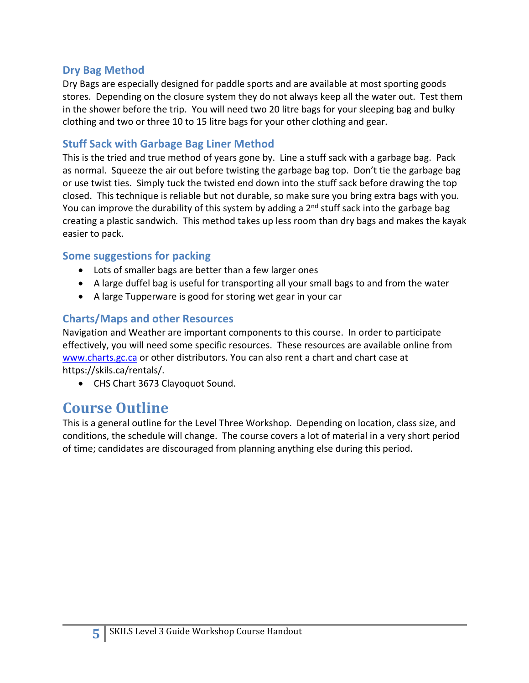#### **Dry Bag Method**

Dry Bags are especially designed for paddle sports and are available at most sporting goods stores. Depending on the closure system they do not always keep all the water out. Test them in the shower before the trip. You will need two 20 litre bags for your sleeping bag and bulky clothing and two or three 10 to 15 litre bags for your other clothing and gear.

#### **Stuff Sack with Garbage Bag Liner Method**

This is the tried and true method of years gone by. Line a stuff sack with a garbage bag. Pack as normal. Squeeze the air out before twisting the garbage bag top. Don't tie the garbage bag or use twist ties. Simply tuck the twisted end down into the stuff sack before drawing the top closed. This technique is reliable but not durable, so make sure you bring extra bags with you. You can improve the durability of this system by adding a 2<sup>nd</sup> stuff sack into the garbage bag creating a plastic sandwich. This method takes up less room than dry bags and makes the kayak easier to pack.

#### **Some suggestions for packing**

- Lots of smaller bags are better than a few larger ones
- A large duffel bag is useful for transporting all your small bags to and from the water
- A large Tupperware is good for storing wet gear in your car

#### **Charts/Maps and other Resources**

Navigation and Weather are important components to this course. In order to participate effectively, you will need some specific resources. These resources are available online from www.charts.gc.ca or other distributors. You can also rent a chart and chart case at https://skils.ca/rentals/.

• CHS Chart 3673 Clayoquot Sound.

### **Course Outline**

This is a general outline for the Level Three Workshop. Depending on location, class size, and conditions, the schedule will change. The course covers a lot of material in a very short period of time; candidates are discouraged from planning anything else during this period.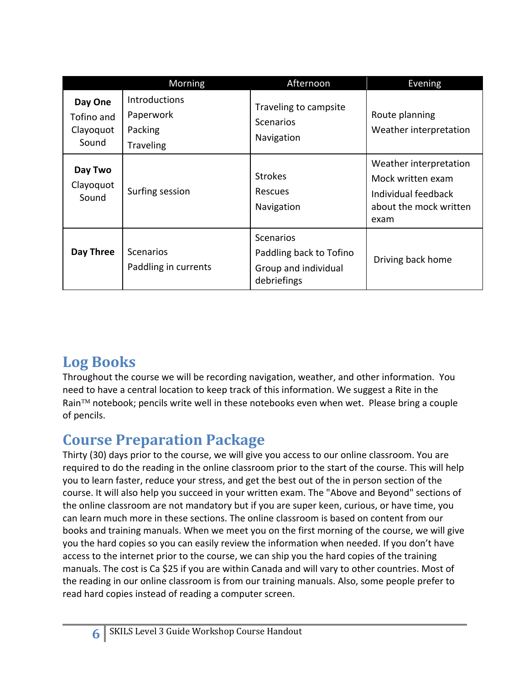|                                             | Morning                                                          | Afternoon                                                                   | Evening                                                                                              |
|---------------------------------------------|------------------------------------------------------------------|-----------------------------------------------------------------------------|------------------------------------------------------------------------------------------------------|
| Day One<br>Tofino and<br>Clayoquot<br>Sound | <b>Introductions</b><br>Paperwork<br>Packing<br><b>Traveling</b> | Traveling to campsite<br><b>Scenarios</b><br>Navigation                     | Route planning<br>Weather interpretation                                                             |
| Day Two<br>Clayoquot<br>Sound               | Surfing session                                                  | <b>Strokes</b><br><b>Rescues</b><br>Navigation                              | Weather interpretation<br>Mock written exam<br>Individual feedback<br>about the mock written<br>exam |
| Day Three                                   | <b>Scenarios</b><br>Paddling in currents                         | Scenarios<br>Paddling back to Tofino<br>Group and individual<br>debriefings | Driving back home                                                                                    |

## **Log Books**

Throughout the course we will be recording navigation, weather, and other information. You need to have a central location to keep track of this information. We suggest a Rite in the Rain™ notebook; pencils write well in these notebooks even when wet. Please bring a couple of pencils.

## **Course Preparation Package**

Thirty (30) days prior to the course, we will give you access to our online classroom. You are required to do the reading in the online classroom prior to the start of the course. This will help you to learn faster, reduce your stress, and get the best out of the in person section of the course. It will also help you succeed in your written exam. The "Above and Beyond" sections of the online classroom are not mandatory but if you are super keen, curious, or have time, you can learn much more in these sections. The online classroom is based on content from our books and training manuals. When we meet you on the first morning of the course, we will give you the hard copies so you can easily review the information when needed. If you don't have access to the internet prior to the course, we can ship you the hard copies of the training manuals. The cost is Ca \$25 if you are within Canada and will vary to other countries. Most of the reading in our online classroom is from our training manuals. Also, some people prefer to read hard copies instead of reading a computer screen.